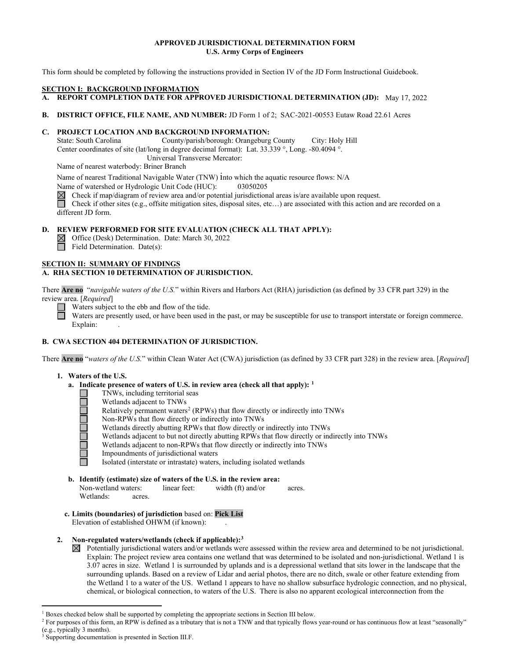# **APPROVED JURISDICTIONAL DETERMINATION FORM U.S. Army Corps of Engineers**

This form should be completed by following the instructions provided in Section IV of the JD Form Instructional Guidebook.

#### **SECTION I: BACKGROUND INFORMATION**

- **A. REPORT COMPLETION DATE FOR APPROVED JURISDICTIONAL DETERMINATION (JD):** May 17, 2022
- **B. DISTRICT OFFICE, FILE NAME, AND NUMBER:** JD Form 1 of 2; SAC-2021-00553 Eutaw Road 22.61 Acres

# **C. PROJECT LOCATION AND BACKGROUND INFORMATION:**

State: South Carolina County/parish/borough: Orangeburg County City: Holy Hill Center coordinates of site (lat/long in degree decimal format): Lat. 33.339 °, Long. -80.4094 °.

Universal Transverse Mercator:

Name of nearest waterbody: Briner Branch

Name of nearest Traditional Navigable Water (TNW) into which the aquatic resource flows: N/A

Name of watershed or Hydrologic Unit Code (HUC): 03050205

Check if map/diagram of review area and/or potential jurisdictional areas is/are available upon request.

Check if other sites (e.g., offsite mitigation sites, disposal sites, etc…) are associated with this action and are recorded on a different JD form.

# **D. REVIEW PERFORMED FOR SITE EVALUATION (CHECK ALL THAT APPLY):**

Office (Desk) Determination. Date: March 30, 2022 Field Determination. Date(s):

# **SECTION II: SUMMARY OF FINDINGS**

# **A. RHA SECTION 10 DETERMINATION OF JURISDICTION.**

There **Are no** "*navigable waters of the U.S.*" within Rivers and Harbors Act (RHA) jurisdiction (as defined by 33 CFR part 329) in the review area. [*Required*] **TION I**<br> **HA SE**<br> **Are no<br>** *L* area.<br>
Wa<br>
Wa

Waters subject to the ebb and flow of the tide.<br>Waters are presently used, or have been used in<br>Evaluation Waters are presently used, or have been used in the past, or may be susceptible for use to transport interstate or foreign commerce. Explain:

# **B. CWA SECTION 404 DETERMINATION OF JURISDICTION.** WA SE<br>Are no<br>. Wan<br>a.

There **Are no** "*waters of the U.S.*" within Clean Water Act (CWA) jurisdiction (as defined by 33 CFR part 328) in the review area. [*Required*]

# **1. Waters of the U.S.**

- **a. Indicate presence of waters of U.S. in review area (check all that apply): [1](#page-0-0)**
	- TNWs, including territorial seas □
		- Wetlands adjacent to TNWs
	- Relatively permanent waters<sup>2</sup> (RPWs) that flow directly or indirectly into TNWs □ □
	- Non-RPWs that flow directly or indirectly into TNWs □
		- Wetlands directly abutting RPWs that flow directly or indirectly into TNWs
	- Wetlands adjacent to but not directly abutting RPWs that flow directly or indirectly into TNWs □ □
		- Wetlands adjacent to non-RPWs that flow directly or indirectly into TNWs
	- Impoundments of jurisdictional waters □ □

Isolated (interstate or intrastate) waters, including isolated wetlands □

**b. Identify (estimate) size of waters of the U.S. in the review area:**

Non-wetland waters: linear feet: width (ft) and/or acres. Wetlands: acres.

**c. Limits (boundaries) of jurisdiction** based on: **Pick List** Elevation of established OHWM (if known):

# **2. Non-regulated waters/wetlands (check if applicable)[:3](#page-0-2)**

 $\boxtimes$  Potentially jurisdictional waters and/or wetlands were assessed within the review area and determined to be not jurisdictional. Explain: The project review area contains one wetland that was determined to be isolated and non-jurisdictional. Wetland 1 is 3.07 acres in size. Wetland 1 is surrounded by uplands and is a depressional wetland that sits lower in the landscape that the surrounding uplands. Based on a review of Lidar and aerial photos, there are no ditch, swale or other feature extending from the Wetland 1 to a water of the US. Wetland 1 appears to have no shallow subsurface hydrologic connection, and no physical, chemical, or biological connection, to waters of the U.S. There is also no apparent ecological interconnection from the

<sup>&</sup>lt;sup>1</sup> Boxes checked below shall be supported by completing the appropriate sections in Section III below.

<span id="page-0-1"></span><span id="page-0-0"></span><sup>&</sup>lt;sup>2</sup> For purposes of this form, an RPW is defined as a tributary that is not a TNW and that typically flows year-round or has continuous flow at least "seasonally" (e.g., typically 3 months).

<span id="page-0-2"></span><sup>3</sup> Supporting documentation is presented in Section III.F.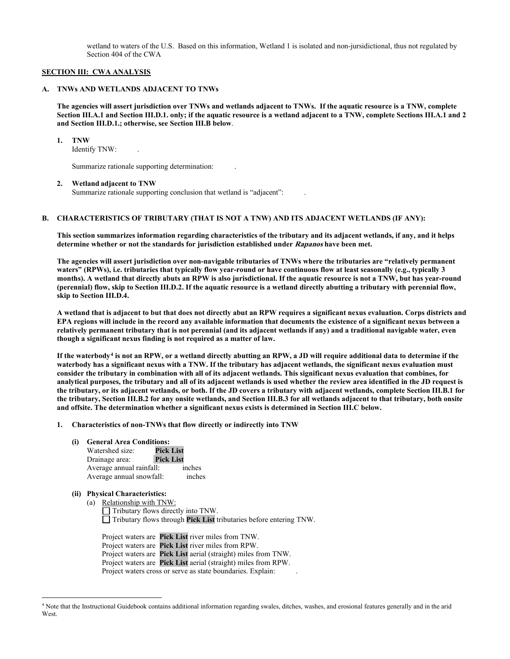wetland to waters of the U.S. Based on this information, Wetland 1 is isolated and non-jursidictional, thus not regulated by Section 404 of the CWA

#### **SECTION III: CWA ANALYSIS**

#### **A. TNWs AND WETLANDS ADJACENT TO TNWs**

**The agencies will assert jurisdiction over TNWs and wetlands adjacent to TNWs. If the aquatic resource is a TNW, complete Section III.A.1 and Section III.D.1. only; if the aquatic resource is a wetland adjacent to a TNW, complete Sections III.A.1 and 2 and Section III.D.1.; otherwise, see Section III.B below**.

**1. TNW**

Identify TNW: .

Summarize rationale supporting determination: .

#### **2. Wetland adjacent to TNW**

Summarize rationale supporting conclusion that wetland is "adjacent": .

#### **B. CHARACTERISTICS OF TRIBUTARY (THAT IS NOT A TNW) AND ITS ADJACENT WETLANDS (IF ANY):**

**This section summarizes information regarding characteristics of the tributary and its adjacent wetlands, if any, and it helps determine whether or not the standards for jurisdiction established under Rapanos have been met.**

**The agencies will assert jurisdiction over non-navigable tributaries of TNWs where the tributaries are "relatively permanent waters" (RPWs), i.e. tributaries that typically flow year-round or have continuous flow at least seasonally (e.g., typically 3 months). A wetland that directly abuts an RPW is also jurisdictional. If the aquatic resource is not a TNW, but has year-round (perennial) flow, skip to Section III.D.2. If the aquatic resource is a wetland directly abutting a tributary with perennial flow, skip to Section III.D.4.**

**A wetland that is adjacent to but that does not directly abut an RPW requires a significant nexus evaluation. Corps districts and EPA regions will include in the record any available information that documents the existence of a significant nexus between a relatively permanent tributary that is not perennial (and its adjacent wetlands if any) and a traditional navigable water, even though a significant nexus finding is not required as a matter of law.**

**If the waterbody[4](#page-1-0) is not an RPW, or a wetland directly abutting an RPW, a JD will require additional data to determine if the waterbody has a significant nexus with a TNW. If the tributary has adjacent wetlands, the significant nexus evaluation must consider the tributary in combination with all of its adjacent wetlands. This significant nexus evaluation that combines, for analytical purposes, the tributary and all of its adjacent wetlands is used whether the review area identified in the JD request is the tributary, or its adjacent wetlands, or both. If the JD covers a tributary with adjacent wetlands, complete Section III.B.1 for the tributary, Section III.B.2 for any onsite wetlands, and Section III.B.3 for all wetlands adjacent to that tributary, both onsite and offsite. The determination whether a significant nexus exists is determined in Section III.C below.**

- **1. Characteristics of non-TNWs that flow directly or indirectly into TNW**
	- **(i) General Area Conditions:**

| Watershed size:          | <b>Pick List</b> |
|--------------------------|------------------|
| Drainage area:           | <b>Pick List</b> |
| Average annual rainfall: | inches           |
| Average annual snowfall: | inches           |

# **(ii) Physical Characteristics:**

(a) Relationship with TNW: Tributary flows directly into TNW. □ Tributary flows through **Pick List** tributaries before entering TNW. □

Project waters are **Pick List** river miles from TNW. Project waters are **Pick List** river miles from RPW. Project waters are **Pick List** aerial (straight) miles from TNW. Project waters are **Pick List** aerial (straight) miles from RPW. Project waters cross or serve as state boundaries. Explain:

<span id="page-1-0"></span><sup>4</sup> Note that the Instructional Guidebook contains additional information regarding swales, ditches, washes, and erosional features generally and in the arid **West**.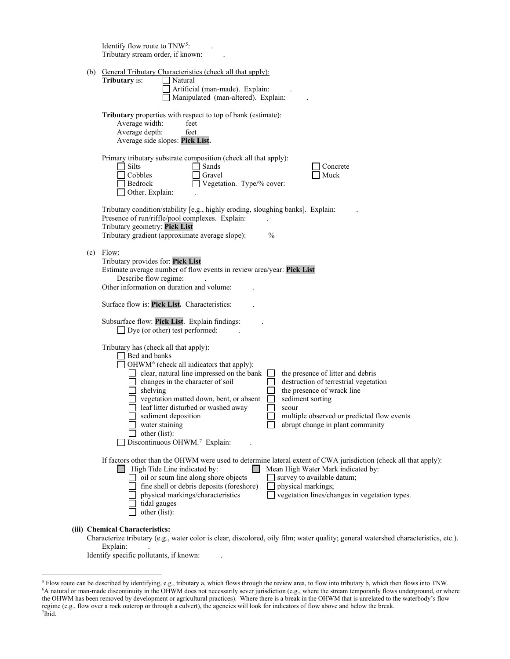|     | Identify flow route to TNW <sup>5</sup> :<br>Tributary stream order, if known:                                                                                                                                                                                                                                                                                                                                                                                                                                                                                                                                       |
|-----|----------------------------------------------------------------------------------------------------------------------------------------------------------------------------------------------------------------------------------------------------------------------------------------------------------------------------------------------------------------------------------------------------------------------------------------------------------------------------------------------------------------------------------------------------------------------------------------------------------------------|
|     | (b) General Tributary Characteristics (check all that apply):                                                                                                                                                                                                                                                                                                                                                                                                                                                                                                                                                        |
|     | Tributary is:<br>Natural<br>Artificial (man-made). Explain:<br>Manipulated (man-altered). Explain:                                                                                                                                                                                                                                                                                                                                                                                                                                                                                                                   |
|     | Tributary properties with respect to top of bank (estimate):<br>Average width:<br>feet<br>Average depth:<br>feet<br>Average side slopes: Pick List.                                                                                                                                                                                                                                                                                                                                                                                                                                                                  |
|     | Primary tributary substrate composition (check all that apply):<br>$\Box$ Silts<br>Sands<br>Concrete<br>Cobbles<br>Gravel<br>Muck<br>Vegetation. Type/% cover:<br>Bedrock<br>Other. Explain:                                                                                                                                                                                                                                                                                                                                                                                                                         |
|     | Tributary condition/stability [e.g., highly eroding, sloughing banks]. Explain:<br>Presence of run/riffle/pool complexes. Explain:<br>Tributary geometry: Pick List<br>Tributary gradient (approximate average slope):<br>$\frac{0}{0}$                                                                                                                                                                                                                                                                                                                                                                              |
| (c) | Flow:<br>Tributary provides for: Pick List<br>Estimate average number of flow events in review area/year: Pick List<br>Describe flow regime:<br>Other information on duration and volume:<br>Surface flow is: Pick List. Characteristics:                                                                                                                                                                                                                                                                                                                                                                            |
|     | Subsurface flow: Pick List. Explain findings:<br>$\Box$ Dye (or other) test performed:                                                                                                                                                                                                                                                                                                                                                                                                                                                                                                                               |
|     | Tributary has (check all that apply):<br>Bed and banks<br>OHWM <sup>6</sup> (check all indicators that apply):<br>clear, natural line impressed on the bank<br>the presence of litter and debris<br>changes in the character of soil<br>destruction of terrestrial vegetation<br>shelving<br>the presence of wrack line<br>vegetation matted down, bent, or absent<br>sediment sorting<br>leaf litter disturbed or washed away<br>scour<br>sediment deposition<br>multiple observed or predicted flow events<br>abrupt change in plant community<br>water staining<br>other (list):<br>Discontinuous OHWM.7 Explain: |
|     | If factors other than the OHWM were used to determine lateral extent of CWA jurisdiction (check all that apply):<br>$\Box$ High Tide Line indicated by:<br>Mean High Water Mark indicated by:<br>oil or scum line along shore objects<br>survey to available datum;<br>fine shell or debris deposits (foreshore)<br>physical markings;<br>vegetation lines/changes in vegetation types.<br>physical markings/characteristics<br>tidal gauges<br>other (list):                                                                                                                                                        |
|     | (iii) Chemical Characteristics:                                                                                                                                                                                                                                                                                                                                                                                                                                                                                                                                                                                      |

Characterize tributary (e.g., water color is clear, discolored, oily film; water quality; general watershed characteristics, etc.). Explain:

Identify specific pollutants, if known:

<span id="page-2-2"></span><span id="page-2-1"></span><span id="page-2-0"></span><sup>5</sup> Flow route can be described by identifying, e.g., tributary a, which flows through the review area, to flow into tributary b, which then flows into TNW. 6 A natural or man-made discontinuity in the OHWM does not necessarily sever jurisdiction (e.g., where the stream temporarily flows underground, or where the OHWM has been removed by development or agricultural practices). Where there is a break in the OHWM that is unrelated to the waterbody's flow regime (e.g., flow over a rock outcrop or through a culvert), the agencies will look for indicators of flow above and below the break. 7 Ibid.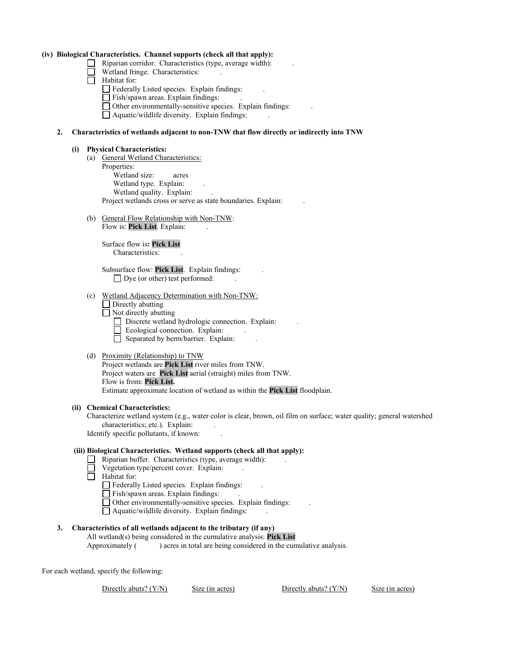#### **(iv) Biological Characteristics. Channel supports (check all that apply):**

- Riparian corridor. Characteristics (type, average width):  $\Box$  Wetland friend. Characteristics:
	- Wetland fringe. Characteristics:
- □ wettand in □
- $\Box$  Federally Listed species. Explain findings:
	- Fish/spawn areas. Explain findings:
- □ TISID Spawn areas. Explain findings.<br>□ Other environmentally-sensitive species. Explain findings:

 $\Box$  Once environmentally-sensitive species. Explain find<br> $\Box$  Aquatic/wildlife diversity. Explain findings:  $\Box$   $\Box$ 

#### **2. Characteristics of wetlands adjacent to non-TNW that flow directly or indirectly into TNW**

#### **(i) Physical Characteristics:**

- (a) General Wetland Characteristics: Properties: Wetland size: acres Wetland type. Explain: Wetland quality. Explain: Project wetlands cross or serve as state boundaries. Explain: .
- (b) General Flow Relationship with Non-TNW: Flow is: **Pick List**. Explain: .

 Surface flow is**: Pick List**  Characteristics: .

 Subsurface flow: **Pick List**. Explain findings: .  $\Box$  Dye (or other) test performed:

- (c) Wetland Adjacency Determination with Non-TNW:
	- □ Directly abutting
- $\Box$  Directly abutting
- $\Box$  Not directly abutting<br> $\Box$  Discrete wetland hydrologic connection. Explain:
	- $\Box$  Ecological connection. Explain:
- $\Box$  Ecological connection. Explain: ... □
	- (d) Proximity (Relationship) to TNW

Project wetlands are **Pick List** river miles from TNW. Project waters are **Pick List** aerial (straight) miles from TNW. Flow is from: **Pick List.** Estimate approximate location of wetland as within the **Pick List** floodplain.

#### **(ii) Chemical Characteristics:**

Characterize wetland system (e.g., water color is clear, brown, oil film on surface; water quality; general watershed characteristics; etc.). Explain:

Identify specific pollutants, if known: .

#### **(iii) Biological Characteristics. Wetland supports (check all that apply):**

- $\Box$  Riparian buffer. Characteristics (type, average width):
- $\Box$  Riparian burier. Characteristics (type, average  $\Box$  Vegetation type/percent cover. Explain:
- $\Box$  vegetation □
	- Federally Listed species. Explain findings:
- $\Box$  Federally Eisted species. Explain findings:
- $\Box$  The spawn areas. Explain moings.<br> $\Box$  Other environmentally-sensitive species. Explain findings:
- $\Box$  Other environmentary-sensitive species. Explain in  $\Box$  Aquatic/wildlife diversity. Explain findings: □

# **3. Characteristics of all wetlands adjacent to the tributary (if any)**

All wetland(s) being considered in the cumulative analysis: **Pick List** Approximately () acres in total are being considered in the cumulative analysis.

For each wetland, specify the following:

Directly abuts? (Y/N) Size (in acres) Directly abuts? (Y/N) Size (in acres)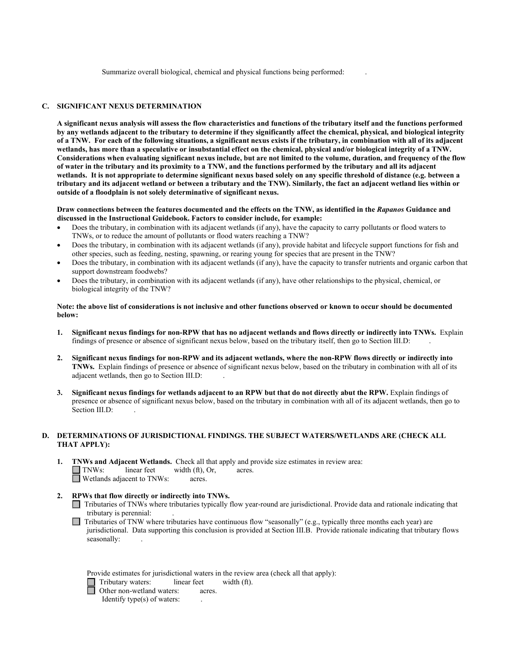Summarize overall biological, chemical and physical functions being performed: .

# **C. SIGNIFICANT NEXUS DETERMINATION**

**A significant nexus analysis will assess the flow characteristics and functions of the tributary itself and the functions performed by any wetlands adjacent to the tributary to determine if they significantly affect the chemical, physical, and biological integrity of a TNW. For each of the following situations, a significant nexus exists if the tributary, in combination with all of its adjacent wetlands, has more than a speculative or insubstantial effect on the chemical, physical and/or biological integrity of a TNW. Considerations when evaluating significant nexus include, but are not limited to the volume, duration, and frequency of the flow of water in the tributary and its proximity to a TNW, and the functions performed by the tributary and all its adjacent wetlands. It is not appropriate to determine significant nexus based solely on any specific threshold of distance (e.g. between a tributary and its adjacent wetland or between a tributary and the TNW). Similarly, the fact an adjacent wetland lies within or outside of a floodplain is not solely determinative of significant nexus.**

**Draw connections between the features documented and the effects on the TNW, as identified in the** *Rapanos* **Guidance and discussed in the Instructional Guidebook. Factors to consider include, for example:**

- Does the tributary, in combination with its adjacent wetlands (if any), have the capacity to carry pollutants or flood waters to TNWs, or to reduce the amount of pollutants or flood waters reaching a TNW?
- Does the tributary, in combination with its adjacent wetlands (if any), provide habitat and lifecycle support functions for fish and other species, such as feeding, nesting, spawning, or rearing young for species that are present in the TNW?
- Does the tributary, in combination with its adjacent wetlands (if any), have the capacity to transfer nutrients and organic carbon that support downstream foodwebs?
- Does the tributary, in combination with its adjacent wetlands (if any), have other relationships to the physical, chemical, or biological integrity of the TNW?

#### **Note: the above list of considerations is not inclusive and other functions observed or known to occur should be documented below:**

- **1. Significant nexus findings for non-RPW that has no adjacent wetlands and flows directly or indirectly into TNWs.** Explain findings of presence or absence of significant nexus below, based on the tributary itself, then go to Section III.D: .
- **2. Significant nexus findings for non-RPW and its adjacent wetlands, where the non-RPW flows directly or indirectly into TNWs.** Explain findings of presence or absence of significant nexus below, based on the tributary in combination with all of its adjacent wetlands, then go to Section III.D: .
- **3. Significant nexus findings for wetlands adjacent to an RPW but that do not directly abut the RPW.** Explain findings of presence or absence of significant nexus below, based on the tributary in combination with all of its adjacent wetlands, then go to Section III.D:

#### **D. DETERMINATIONS OF JURISDICTIONAL FINDINGS. THE SUBJECT WATERS/WETLANDS ARE (CHECK ALL THAT APPLY):**

- **1. TNWs and Adjacent Wetlands.** Check all that apply and provide size estimates in review area: TNWs: linear feet width (ft), Or, acres. Wetlands adjacent to TNWs: acres.
- **2. RPWs that flow directly or indirectly into TNWs.**
	- □ Tributaries of TNWs where tributaries typically flow year-round are jurisdictional. Provide data and rationale indicating that tributary is perennial: tributary is perennial: .
	- □ Tributaries of TNW where tributaries have continuous flow "seasonally" (e.g., typically three months each year) are invisibility in the conclusion is provided at Section III B. Provide rationals indicating that tribute jurisdictional. Data supporting this conclusion is provided at Section III.B. Provide rationale indicating that tributary flows seasonally:

|  | Provide estimates for jurisdictional waters in the review area (check all that apply): |  |  |  |  |  |  |  |
|--|----------------------------------------------------------------------------------------|--|--|--|--|--|--|--|
|  |                                                                                        |  |  |  |  |  |  |  |

Tributary waters:linear feetwidth (ft).

Other non-wetland waters:acres.

Identify type(s) of waters: .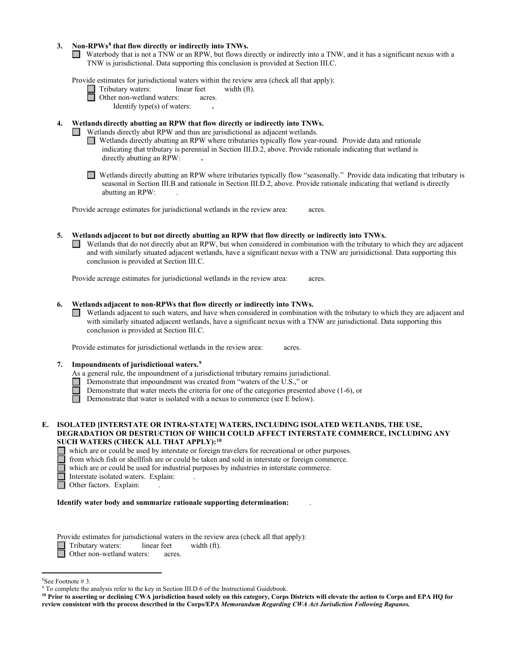#### **3. Non-RPWs[8](#page-5-0) that flow directly or indirectly into TNWs.**

■ Waterbody that is not a TNW or an RPW, but flows directly or indirectly into a TNW, and it has a significant nexus with a TNW is urisdictional. Data supporting this conclusion is provided at Section III C TNW is jurisdictional. Data supporting this conclusion is provided at Section III.C.

Provide estimates for jurisdictional waters within the review area (check all that apply):

 Tributary waters:linear feetwidth (ft). **1 Construction Construction Construction Construction Construction Construction Construction Construction Construction Construction Construction Construction Construction Construction Constru** 

Identify type(s) of waters: **.** 

# **4. Wetlands directly abutting an RPW that flow directly or indirectly into TNWs.**

**T** Wetlands directly abut RPW and thus are jurisdictional as adjacent wetlands.

■ **INTERNATIONAL INTERNATIONAL INCORPORATION** INTERNATIONAL INTERNATIONAL INCORPORATION OF THE UP OF THE UP OF THE UP OF THE UP OF THE UP OF THE UP OF THE UP OF THE UP OF THE UP OF THE UP OF THE UP OF THE UP OF THE UP OF indicating that tributary is perennial in Section III.D.2, above. Provide rationale indicating that wetland is directly abutting an RPW: **.** 

■ Wetlands directly abutting an RPW where tributaries typically flow "seasonally." Provide data indicating that tributary is seasonal in Section III B and rationals in Section III D 2, above Provide rationals indicating t seasonal in Section III.B and rationale in Section III.D.2, above. Provide rationale indicating that wetland is directly abutting an RPW: .

Provide acreage estimates for jurisdictional wetlands in the review area:acres.

**5. Wetlands adjacent to but not directly abutting an RPW that flow directly or indirectly into TNWs.**  □ Wetlands that do not directly abut an RPW, but when considered in combination with the tributary to which they are adjacent and with similarly situated adjacent watlands have a significant nevus with a TNW are invisibil and with similarly situated adjacent wetlands, have a significant nexus with a TNW are jurisidictional. Data supporting this conclusion is provided at Section III.C.

Provide acreage estimates for jurisdictional wetlands in the review area:acres.

# **6. Wetlands adjacent to non-RPWs that flow directly or indirectly into TNWs.**

■ Wetlands adjacent to such waters, and have when considered in combination with the tributary to which they are adjacent and with similarly situated adjacent wetlands, have a significant nexus with a TNW are jurisdiction with similarly situated adjacent wetlands, have a significant nexus with a TNW are jurisdictional. Data supporting this conclusion is provided at Section III.C.

Provide estimates for jurisdictional wetlands in the review area:acres.

#### **7. Impoundments of jurisdictional waters. [9](#page-5-1)**

As a general rule, the impoundment of a jurisdictional tributary remains jurisdictional.

- Demonstrate that impoundment was created from "waters of the U.S.," or
- Demonstrate that water meets the criteria for one of the categories presented above (1-6), or
- Demonstrate that water is isolated with a nexus to commerce (see E below).  $\Box$

#### **E. ISOLATED [INTERSTATE OR INTRA-STATE] WATERS, INCLUDING ISOLATED WETLANDS, THE USE, DEGRADATION OR DESTRUCTION OF WHICH COULD AFFECT INTERSTATE COMMERCE, INCLUDING ANY SUCH WATERS (CHECK ALL THAT APPLY):[10](#page-5-2)**

which are or could be used by interstate or foreign travelers for recreational or other purposes.

from which fish or shellfish are or could be taken and sold in interstate or foreign commerce.

which are or could be used for industrial purposes by industries in interstate commerce.

□ Interstate isolated waters. Explain: .

Other factors. Explain:

#### **Identify water body and summarize rationale supporting determination:** .

Provide estimates for jurisdictional waters in the review area (check all that apply):

Tributary waters: linear feet width (ft).<br> **Communist Communist Communist Communist Communist Communist Communist Communist Communist Communist Communist Communist Communist Communist Communist Communist Communist Communis** 

□

I

Other non-wetland waters: acres.

<span id="page-5-0"></span><sup>&</sup>lt;sup>8</sup>See Footnote #3.

<span id="page-5-1"></span> $9$  To complete the analysis refer to the key in Section III.D.6 of the Instructional Guidebook.

<span id="page-5-2"></span>**<sup>10</sup> Prior to asserting or declining CWA jurisdiction based solely on this category, Corps Districts will elevate the action to Corps and EPA HQ for review consistent with the process described in the Corps/EPA** *Memorandum Regarding CWA Act Jurisdiction Following Rapanos.*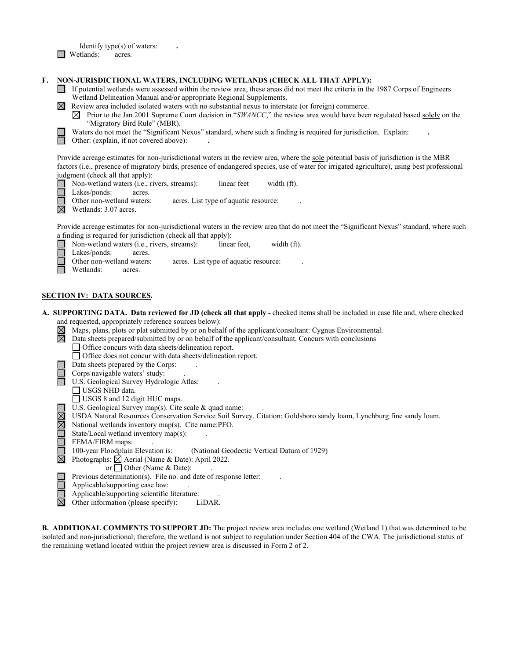Identify type(s) of waters: **.**  □ Wetlands: acres.

# **F. NON-JURISDICTIONAL WATERS, INCLUDING WETLANDS (CHECK ALL THAT APPLY):**

- If potential wetlands were assessed within the review area, these areas did not meet the criteria in the 1987 Corps of Engineers Wetland Delineation Manual and/or appropriate Regional Supplements.
- $\boxtimes$  Review area included isolated waters with no substantial nexus to interstate (or foreign) commerce.
	- $\boxtimes$  Prior to the Jan 2001 Supreme Court decision in "*SWANCC*," the review area would have been regulated based solely on the "Migratory Bird Rule" (MBR).
- Waters do not meet the "Significant Nexus" standard, where such a finding is required for jurisdiction. Explain: <br>
 Other: (explain, if not covered above):
	- Other: (explain, if not covered above): **.**

Provide acreage estimates for non-jurisdictional waters in the review area, where the sole potential basis of jurisdiction is the MBR factors (i.e., presence of migratory birds, presence of endangered species, use of water for irrigated agriculture), using best professional judgment (check all that apply):

■ Non-wetland waters (i.e., rivers, streams): linear feet width (ft).<br>■ Lakes/ponds: acres.

Lakes/ponds: acres.

Other non-wetland waters: acres. List type of aquatic resource:

 $\boxtimes$  Wetlands: 3.07 acres.

Provide acreage estimates for non-jurisdictional waters in the review area that do not meet the "Significant Nexus" standard, where such

- a finding is required for jurisdiction (check all that apply):<br>  $\Box$  Non-wetland waters (i.e., rivers, streams): linea Non-wetland waters (i.e., rivers, streams):linear feet,width (ft).
- Lakes/ponds: acres. □
	- Other non-wetland waters: acres. List type of aquatic resource:
- Wetlands: acres. ロール コンピュー しょうしゃ □

# **SECTION IV: DATA SOURCES.**

- **A. SUPPORTING DATA. Data reviewed for JD (check all that apply** checked items shall be included in case file and, where checked and requested, appropriately reference sources below):<br>  $\boxtimes$  Maps, plans, plots or plat submitted by or on beha $\boxtimes$  Data sheets prepared/submitted by or on behalf of
	- Maps, plans, plots or plat submitted by or on behalf of the applicant/consultant: Cygnus Environmental.
	- Data sheets prepared/submitted by or on behalf of the applicant/consultant. Concurs with conclusions
		- □ Office concurs with data sheets/delineation report.
	- Office does not concur with data sheets/delineation report.
	- Data sheets prepared by the Corps: .
	- Corps navigable waters' study:
	- U.S. Geological Survey Hydrologic Atlas: .
		- USGS NHD data.
		- USGS 8 and 12 digit HUC maps.
		- U.S. Geological Survey map(s). Cite scale & quad name:
	- USDA Natural Resources Conservation Service Soil Survey. Citation: Goldsboro sandy loam, Lynchburg fine sandy loam.
	- National wetlands inventory map(s). Cite name:PFO.

State/Local wetland inventory map(s): .

- 
- FEMA/FIRM maps: .<br>100-year Floodplain Elevation is: (National Geodectic Vertical Datum of 1929)
- $\boxtimes$  Photographs:  $\boxtimes$  Aerial (Name & Date): April 2022.
	- or  $\Box$  Other (Name & Date):
	- Previous determination(s). File no. and date of response letter:
	- Applicable/supporting case law: .
	- Applicable/supporting scientific literature: .
- $\boxtimes$ Other information (please specify): LiDAR.

**B. ADDITIONAL COMMENTS TO SUPPORT JD:** The project review area includes one wetland (Wetland 1) that was determined to be isolated and non-jurisdictional; therefore, the wetland is not subject to regulation under Section 404 of the CWA. The jurisdictional status of the remaining wetland located within the project review area is discussed in Form 2 of 2.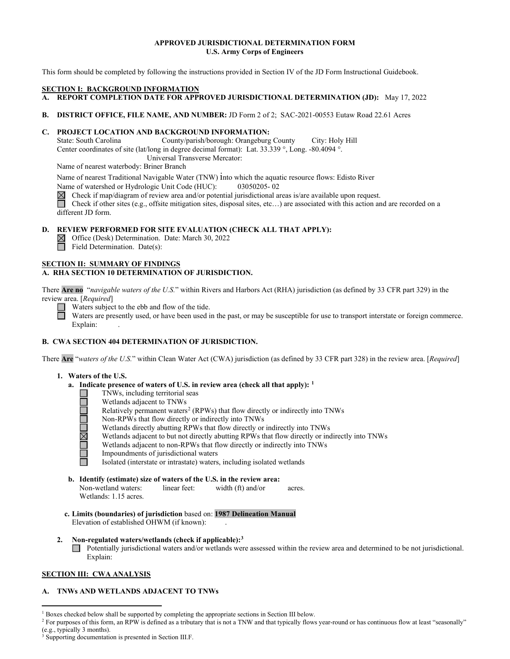# **APPROVED JURISDICTIONAL DETERMINATION FORM U.S. Army Corps of Engineers**

This form should be completed by following the instructions provided in Section IV of the JD Form Instructional Guidebook.

#### **SECTION I: BACKGROUND INFORMATION**

- **A. REPORT COMPLETION DATE FOR APPROVED JURISDICTIONAL DETERMINATION (JD):** May 17, 2022
- **B. DISTRICT OFFICE, FILE NAME, AND NUMBER:** JD Form 2 of 2; SAC-2021-00553 Eutaw Road 22.61 Acres

# **C. PROJECT LOCATION AND BACKGROUND INFORMATION:**

State: South Carolina County/parish/borough: Orangeburg County City: Holy Hill Center coordinates of site (lat/long in degree decimal format): Lat. 33.339 °, Long. -80.4094 °.

Universal Transverse Mercator:

Name of nearest waterbody: Briner Branch

Name of nearest Traditional Navigable Water (TNW) into which the aquatic resource flows: Edisto River

Name of watershed or Hydrologic Unit Code (HUC): 03050205- 02

Check if map/diagram of review area and/or potential jurisdictional areas is/are available upon request.

Check if other sites (e.g., offsite mitigation sites, disposal sites, etc…) are associated with this action and are recorded on a different JD form.

# **D. REVIEW PERFORMED FOR SITE EVALUATION (CHECK ALL THAT APPLY):**

Office (Desk) Determination. Date: March 30, 2022 Field Determination. Date(s):

# **A. RHA SECTION 10 DETERMINATION OF JURISDICTION.**

**SECTION II: SUMMARY OF FINDINGS**<br> **A. RHA SECTION 10 DETERMINATION**<br>
There **Are no** "*navigable waters of the U.S.*"<br>
review area. [*Required*]<br>
Waters subject to the ebb and flow completes waters are presently used, or h There **Are no** "*navigable waters of the U.S.*" within Rivers and Harbors Act (RHA) jurisdiction (as defined by 33 CFR part 329) in the review area. [*Required*]

Waters subject to the ebb and flow of the tide.<br>Waters are presently used, or have been used in<br>Evaluation Waters are presently used, or have been used in the past, or may be susceptible for use to transport interstate or foreign commerce. Explain:

# **B. CWA SECTION 404 DETERMINATION OF JURISDICTION.**

There **Are** "*waters of the U.S.*" within Clean Water Act (CWA) jurisdiction (as defined by 33 CFR part 328) in the review area. [*Required*] Are "v"<br>Are "v"

# **1. Waters of the U.S.**

- **a. Indicate presence of waters of U.S. in review area (check all that apply): [1](#page-7-0)**
	- TNWs, including territorial seas □
		- Wetlands adjacent to TNWs
	- Relatively permanent waters<sup>2</sup> (RPWs) that flow directly or indirectly into TNWs □ □
	- Non-RPWs that flow directly or indirectly into TNWs □
		- Wetlands directly abutting RPWs that flow directly or indirectly into TNWs
	- Wetlands adjacent to but not directly abutting RPWs that flow directly or indirectly into TNWs 그<br>그<br>그
		- Wetlands adjacent to non-RPWs that flow directly or indirectly into TNWs
	- Impoundments of jurisdictional waters □ □

Isolated (interstate or intrastate) waters, including isolated wetlands □

**b. Identify (estimate) size of waters of the U.S. in the review area:** Non-wetland waters: linear feet: width (ft) and/or acres.

Wetlands: 1.15 acres.

**c. Limits (boundaries) of jurisdiction** based on: **1987 Delineation Manual** Elevation of established OHWM (if known):

# **2. Non-regulated waters/wetlands (check if applicable)[:3](#page-7-2)**

□ Potentially jurisdictional waters and/or wetlands were assessed within the review area and determined to be not jurisdictional. Explain:

# **SECTION III: CWA ANALYSIS**

# **A. TNWs AND WETLANDS ADJACENT TO TNWs**

<span id="page-7-0"></span><sup>&</sup>lt;sup>1</sup> Boxes checked below shall be supported by completing the appropriate sections in Section III below.

<span id="page-7-1"></span><sup>&</sup>lt;sup>2</sup> For purposes of this form, an RPW is defined as a tributary that is not a TNW and that typically flows year-round or has continuous flow at least "seasonally" (e.g., typically 3 months).

<span id="page-7-2"></span><sup>3</sup> Supporting documentation is presented in Section III.F.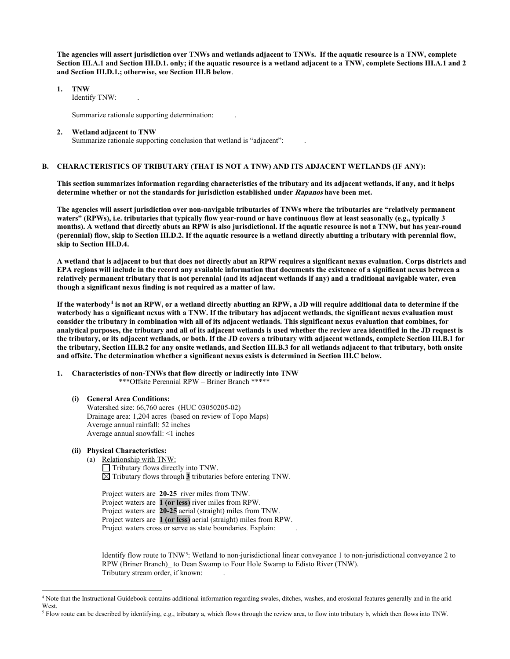**The agencies will assert jurisdiction over TNWs and wetlands adjacent to TNWs. If the aquatic resource is a TNW, complete Section III.A.1 and Section III.D.1. only; if the aquatic resource is a wetland adjacent to a TNW, complete Sections III.A.1 and 2 and Section III.D.1.; otherwise, see Section III.B below**.

 **1. TNW** 

Identify TNW:

Summarize rationale supporting determination: .

#### **2. Wetland adjacent to TNW**

Summarize rationale supporting conclusion that wetland is "adjacent":

#### **B. CHARACTERISTICS OF TRIBUTARY (THAT IS NOT A TNW) AND ITS ADJACENT WETLANDS (IF ANY):**

 **This section summarizes information regarding characteristics of the tributary and its adjacent wetlands, if any, and it helps determine whether or not the standards for jurisdiction established under Rapanos have been met.** 

 **The agencies will assert jurisdiction over non-navigable tributaries of TNWs where the tributaries are "relatively permanent waters" (RPWs), i.e. tributaries that typically flow year-round or have continuous flow at least seasonally (e.g., typically 3 months). A wetland that directly abuts an RPW is also jurisdictional. If the aquatic resource is not a TNW, but has year-round (perennial) flow, skip to Section III.D.2. If the aquatic resource is a wetland directly abutting a tributary with perennial flow, skip to Section III.D.4.** 

**A wetland that is adjacent to but that does not directly abut an RPW requires a significant nexus evaluation. Corps districts and EPA regions will include in the record any available information that documents the existence of a significant nexus between a relatively permanent tributary that is not perennial (and its adjacent wetlands if any) and a traditional navigable water, even though a significant nexus finding is not required as a matter of law.** 

**If the waterbody[4](#page-8-0) is not an RPW, or a wetland directly abutting an RPW, a JD will require additional data to determine if the waterbody has a significant nexus with a TNW. If the tributary has adjacent wetlands, the significant nexus evaluation must consider the tributary in combination with all of its adjacent wetlands. This significant nexus evaluation that combines, for analytical purposes, the tributary and all of its adjacent wetlands is used whether the review area identified in the JD request is the tributary, or its adjacent wetlands, or both. If the JD covers a tributary with adjacent wetlands, complete Section III.B.1 for the tributary, Section III.B.2 for any onsite wetlands, and Section III.B.3 for all wetlands adjacent to that tributary, both onsite and offsite. The determination whether a significant nexus exists is determined in Section III.C below.** 

- **1. Characteristics of non-TNWs that flow directly or indirectly into TNW** \*\*\*Offsite Perennial RPW – Briner Branch \*\*\*\*\*
	- **(i) General Area Conditions:** Watershed size: 66,760 acres (HUC 03050205-02) Drainage area: 1,204 acres (based on review of Topo Maps) Average annual rainfall: 52 inches Average annual snowfall: <1 inches
	- **(ii) Physical Characteristics:** 
		- (a) Relationship with TNW:

 $\Box$  Tributary flows directly into TNW.  $\Box$  Tributary flows directly models in the section of  $\Box$  Tributary flows through **3** tributaries before entering TNW.

> Project waters are **20-25** river miles from TNW. Project waters are **1 (or less)** river miles from RPW. Project waters are **20-25** aerial (straight) miles from TNW. Project waters are **1 (or less)** aerial (straight) miles from RPW. Project waters cross or serve as state boundaries. Explain:

Identify flow route to TNW[5:](#page-8-1) Wetland to non-jurisdictional linear conveyance 1 to non-jurisdictional conveyance 2 to RPW (Briner Branch)\_ to Dean Swamp to Four Hole Swamp to Edisto River (TNW). Tributary stream order, if known: .

<span id="page-8-0"></span><sup>4</sup> Note that the Instructional Guidebook contains additional information regarding swales, ditches, washes, and erosional features generally and in the arid West.

<span id="page-8-1"></span><sup>5</sup> Flow route can be described by identifying, e.g., tributary a, which flows through the review area, to flow into tributary b, which then flows into TNW.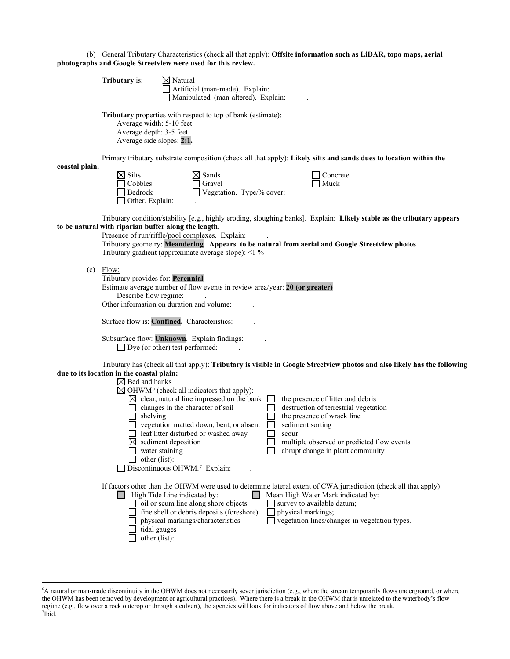|  |                                                              | (b) General Tributary Characteristics (check all that apply): Offsite information such as LiDAR, topo maps, aerial |  |
|--|--------------------------------------------------------------|--------------------------------------------------------------------------------------------------------------------|--|
|  | photographs and Google Streetview were used for this review. |                                                                                                                    |  |

|                | <b>Tributary</b> is:                                                                                             | $\boxtimes$ Natural                                    | Artificial (man-made). Explain:<br>Manipulated (man-altered). Explain:                                                                                                                                                                                                                                                                                                                                                           |         |                           |                                                                                                                                                                                            |  |
|----------------|------------------------------------------------------------------------------------------------------------------|--------------------------------------------------------|----------------------------------------------------------------------------------------------------------------------------------------------------------------------------------------------------------------------------------------------------------------------------------------------------------------------------------------------------------------------------------------------------------------------------------|---------|---------------------------|--------------------------------------------------------------------------------------------------------------------------------------------------------------------------------------------|--|
|                | Average width: 5-10 feet<br>Average depth: 3-5 feet<br>Average side slopes: 2:1.                                 |                                                        | Tributary properties with respect to top of bank (estimate):                                                                                                                                                                                                                                                                                                                                                                     |         |                           |                                                                                                                                                                                            |  |
|                |                                                                                                                  |                                                        | Primary tributary substrate composition (check all that apply): Likely silts and sands dues to location within the                                                                                                                                                                                                                                                                                                               |         |                           |                                                                                                                                                                                            |  |
| coastal plain. | $\boxtimes$ Silts<br>Cobbles<br>Bedrock<br>Other. Explain:                                                       |                                                        | $\boxtimes$ Sands<br>$\Box$ Gravel<br>Vegetation. Type/% cover:                                                                                                                                                                                                                                                                                                                                                                  |         |                           | Concrete<br>Muck                                                                                                                                                                           |  |
|                | to be natural with riparian buffer along the length.                                                             |                                                        | Tributary condition/stability [e.g., highly eroding, sloughing banks]. Explain: Likely stable as the tributary appears<br>Presence of run/riffle/pool complexes. Explain:<br>Tributary geometry: Meandering Appears to be natural from aerial and Google Streetview photos<br>Tributary gradient (approximate average slope): <1 %                                                                                               |         |                           |                                                                                                                                                                                            |  |
| (c)            | Flow:<br>Tributary provides for: Perennial<br>Describe flow regime:<br>Other information on duration and volume: |                                                        | Estimate average number of flow events in review area/year: 20 (or greater)                                                                                                                                                                                                                                                                                                                                                      |         |                           |                                                                                                                                                                                            |  |
|                | Surface flow is: <b>Confined.</b> Characteristics:                                                               |                                                        |                                                                                                                                                                                                                                                                                                                                                                                                                                  |         |                           |                                                                                                                                                                                            |  |
|                | $\Box$ Dye (or other) test performed:                                                                            |                                                        | Subsurface flow: Unknown. Explain findings:                                                                                                                                                                                                                                                                                                                                                                                      |         |                           |                                                                                                                                                                                            |  |
|                | due to its location in the coastal plain:<br>$\boxtimes$ Bed and banks<br>shelving<br>⊠                          | sediment deposition<br>water staining<br>other (list): | Tributary has (check all that apply): Tributary is visible in Google Streetview photos and also likely has the following<br>$\boxtimes$ OHWM <sup>6</sup> (check all indicators that apply):<br>$\boxtimes$ clear, natural line impressed on the bank $\Box$<br>changes in the character of soil<br>vegetation matted down, bent, or absent<br>leaf litter disturbed or washed away<br>Discontinuous OHWM. <sup>7</sup> Explain: | $\perp$ | sediment sorting<br>scour | the presence of litter and debris<br>destruction of terrestrial vegetation<br>the presence of wrack line<br>multiple observed or predicted flow events<br>abrupt change in plant community |  |
|                | $\Box$ High Tide Line indicated by:                                                                              | tidal gauges<br>other (list):                          | If factors other than the OHWM were used to determine lateral extent of CWA jurisdiction (check all that apply):<br>oil or scum line along shore objects<br>fine shell or debris deposits (foreshore)<br>physical markings/characteristics                                                                                                                                                                                       |         | physical markings;        | Mean High Water Mark indicated by:<br>survey to available datum;<br>vegetation lines/changes in vegetation types.                                                                          |  |

□

<span id="page-9-1"></span><span id="page-9-0"></span><sup>6</sup> A natural or man-made discontinuity in the OHWM does not necessarily sever jurisdiction (e.g., where the stream temporarily flows underground, or where the OHWM has been removed by development or agricultural practices). Where there is a break in the OHWM that is unrelated to the waterbody's flow regime (e.g., flow over a rock outcrop or through a culvert), the agencies will look for indicators of flow above and below the break. 7 Ibid.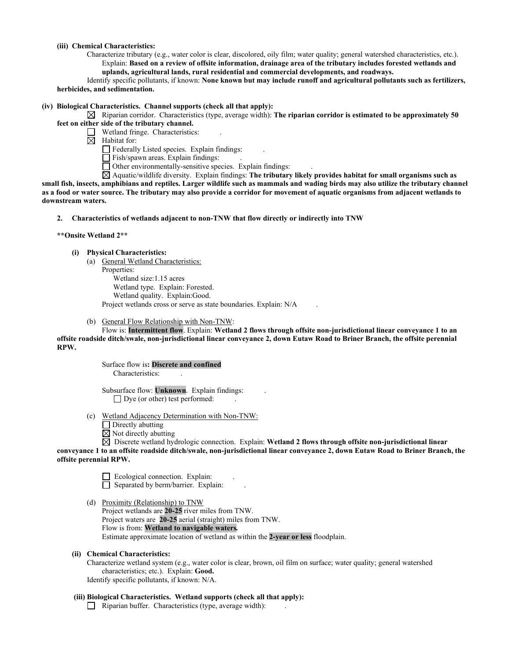#### **(iii) Chemical Characteristics:**

- Characterize tributary (e.g., water color is clear, discolored, oily film; water quality; general watershed characteristics, etc.). Explain: **Based on a review of offsite information, drainage area of the tributary includes forested wetlands and** 
	- **uplands, agricultural lands, rural residential and commercial developments, and roadways.**

 Identify specific pollutants, if known: **None known but may include runoff and agricultural pollutants such as fertilizers, herbicides, and sedimentation.** 

# **(iv) Biological Characteristics. Channel supports (check all that apply):**

 $\boxtimes$  Riparian corridor. Characteristics (type, average width): The riparian corridor is estimated to be approximately 50 **feet on either side of the tributary channel.**

- Wetland fringe. Characteristics:
- $\boxtimes$  Habitat for:

 $\Box$  Federally Listed species. Explain findings:

Fish/spawn areas. Explain findings:

 $\Box$  Other environmentally-sensitive species. Explain findings:

 Aquatic/wildlife diversity. Explain findings: **The tributary likely provides habitat for small organisms such as small fish, insects, amphibians and reptiles. Larger wildlife such as mammals and wading birds may also utilize the tributary channel as a food or water source. The tributary may also provide a corridor for movement of aquatic organisms from adjacent wetlands to downstream waters.**

**2. Characteristics of wetlands adjacent to non-TNW that flow directly or indirectly into TNW**

#### **\*\*Onsite Wetland 2\*\***

#### **(i) Physical Characteristics:**

(a) General Wetland Characteristics:

Properties: Wetland size:1.15 acres Wetland type. Explain: Forested. Wetland quality. Explain:Good. Project wetlands cross or serve as state boundaries. Explain: N/A .

(b) General Flow Relationship with Non-TNW:

Flow is: **Intermittent flow**. Explain: **Wetland 2 flows through offsite non-jurisdictional linear conveyance 1 to an offsite roadside ditch/swale, non-jurisdictional linear conveyance 2, down Eutaw Road to Briner Branch, the offsite perennial RPW.**

> Surface flow is**: Discrete and confined**  Characteristics: .

 Subsurface flow: **Unknown**. Explain findings: .  $\Box$  Dye (or other) test performed:

- (c) Wetland Adjacency Determination with Non-TNW:
	- □ Directly abutting
	- $\boxtimes$  Not directly abutting

 Discrete wetland hydrologic connection. Explain: **Wetland 2 flows through offsite non-jurisdictional linear conveyance 1 to an offsite roadside ditch/swale, non-jurisdictional linear conveyance 2, down Eutaw Road to Briner Branch, the offsite perennial RPW.**

 $\Box$  Ecological connection. Explain:  $\Box$  Ecological connection. Explain: . . □

 (d) Proximity (Relationship) to TNW Project wetlands are **20-25** river miles from TNW. Project waters are **20-25** aerial (straight) miles from TNW. Flow is from: **Wetland to navigable waters.** Estimate approximate location of wetland as within the **2-year or less** floodplain.

# **(ii) Chemical Characteristics:**

Characterize wetland system (e.g., water color is clear, brown, oil film on surface; water quality; general watershed characteristics; etc.). Explain: **Good.** Identify specific pollutants, if known: N/A.

# **(iii) Biological Characteristics. Wetland supports (check all that apply):**

 $\Box$  Riparian buffer. Characteristics (type, average width):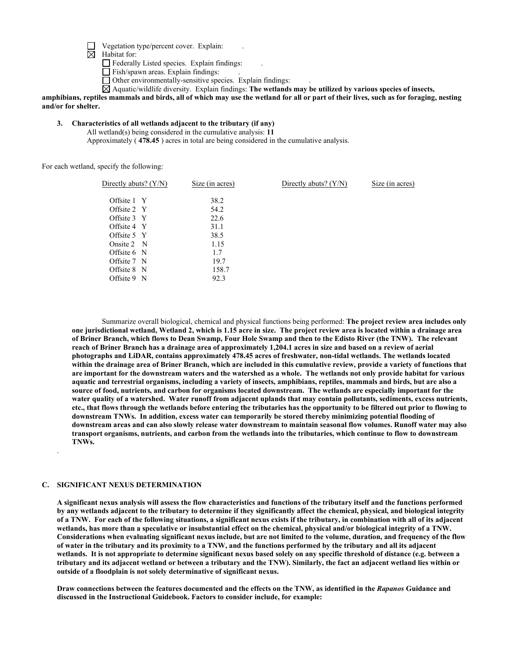Vegetation type/percent cover. Explain: .

 $\boxtimes$  Habitat for:

Federally Listed species. Explain findings: .

Fish/spawn areas. Explain findings:

Other environmentally-sensitive species. Explain findings: .

Aquatic/wildlife diversity. Explain findings: **The wetlands may be utilized by various species of insects,** 

**amphibians, reptiles mammals and birds, all of which may use the wetland for all or part of their lives, such as for foraging, nesting and/or for shelter.** 

# **3. Characteristics of all wetlands adjacent to the tributary (if any)**

All wetland(s) being considered in the cumulative analysis: **11** Approximately ( **478.45** ) acres in total are being considered in the cumulative analysis.

For each wetland, specify the following:

| Directly abuts? $(Y/N)$ | Size (in acres) | Directly abuts? $(Y/N)$ | Size (in acres) |
|-------------------------|-----------------|-------------------------|-----------------|
|                         |                 |                         |                 |
| Offsite 1 Y             | 38.2            |                         |                 |
| Offsite 2 Y             | 54.2            |                         |                 |
| Offsite 3 Y             | 22.6            |                         |                 |
| Offsite 4 Y             | 31.1            |                         |                 |
| Offsite 5 Y             | 38.5            |                         |                 |
| Onsite $2 \text{ N}$    | 1.15            |                         |                 |
| Offsite 6 N             | 1.7             |                         |                 |
| Offsite 7 N             | 19.7            |                         |                 |
| Offsite 8 N             | 158.7           |                         |                 |
| Offsite 9 N             | 92.3            |                         |                 |
|                         |                 |                         |                 |

 Summarize overall biological, chemical and physical functions being performed: **The project review area includes only one jurisdictional wetland, Wetland 2, which is 1.15 acre in size. The project review area is located within a drainage area of Briner Branch, which flows to Dean Swamp, Four Hole Swamp and then to the Edisto River (the TNW). The relevant reach of Briner Branch has a drainage area of approximately 1,204.1 acres in size and based on a review of aerial photographs and LiDAR, contains approximately 478.45 acres of freshwater, non-tidal wetlands. The wetlands located within the drainage area of Briner Branch, which are included in this cumulative review, provide a variety of functions that are important for the downstream waters and the watershed as a whole. The wetlands not only provide habitat for various aquatic and terrestrial organisms, including a variety of insects, amphibians, reptiles, mammals and birds, but are also a source of food, nutrients, and carbon for organisms located downstream. The wetlands are especially important for the water quality of a watershed. Water runoff from adjacent uplands that may contain pollutants, sediments, excess nutrients, etc., that flows through the wetlands before entering the tributaries has the opportunity to be filtered out prior to flowing to downstream TNWs. In addition, excess water can temporarily be stored thereby minimizing potential flooding of downstream areas and can also slowly release water downstream to maintain seasonal flow volumes. Runoff water may also transport organisms, nutrients, and carbon from the wetlands into the tributaries, which continue to flow to downstream TNWs.** 

#### **C. SIGNIFICANT NEXUS DETERMINATION**

.

**A significant nexus analysis will assess the flow characteristics and functions of the tributary itself and the functions performed by any wetlands adjacent to the tributary to determine if they significantly affect the chemical, physical, and biological integrity of a TNW. For each of the following situations, a significant nexus exists if the tributary, in combination with all of its adjacent wetlands, has more than a speculative or insubstantial effect on the chemical, physical and/or biological integrity of a TNW. Considerations when evaluating significant nexus include, but are not limited to the volume, duration, and frequency of the flow of water in the tributary and its proximity to a TNW, and the functions performed by the tributary and all its adjacent wetlands. It is not appropriate to determine significant nexus based solely on any specific threshold of distance (e.g. between a tributary and its adjacent wetland or between a tributary and the TNW). Similarly, the fact an adjacent wetland lies within or outside of a floodplain is not solely determinative of significant nexus.** 

**Draw connections between the features documented and the effects on the TNW, as identified in the** *Rapanos* **Guidance and discussed in the Instructional Guidebook. Factors to consider include, for example:**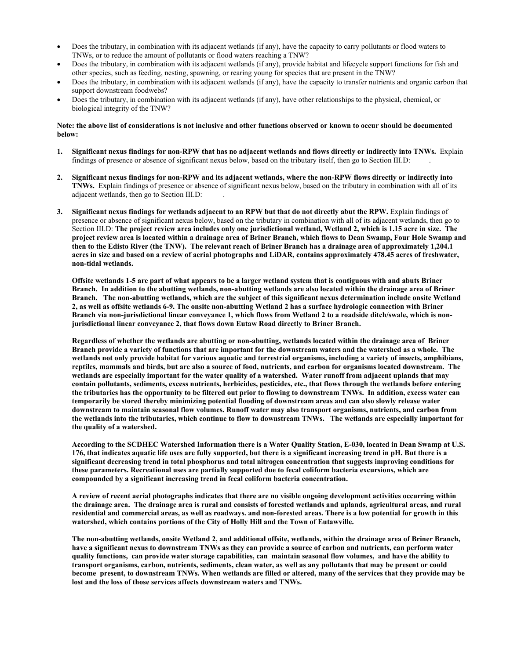- Does the tributary, in combination with its adjacent wetlands (if any), have the capacity to carry pollutants or flood waters to TNWs, or to reduce the amount of pollutants or flood waters reaching a TNW?
- Does the tributary, in combination with its adjacent wetlands (if any), provide habitat and lifecycle support functions for fish and other species, such as feeding, nesting, spawning, or rearing young for species that are present in the TNW?
- Does the tributary, in combination with its adjacent wetlands (if any), have the capacity to transfer nutrients and organic carbon that support downstream foodwebs?
- Does the tributary, in combination with its adjacent wetlands (if any), have other relationships to the physical, chemical, or biological integrity of the TNW?

#### **Note: the above list of considerations is not inclusive and other functions observed or known to occur should be documented below:**

- **1. Significant nexus findings for non-RPW that has no adjacent wetlands and flows directly or indirectly into TNWs.** Explain findings of presence or absence of significant nexus below, based on the tributary itself, then go to Section III.D: .
- **2. Significant nexus findings for non-RPW and its adjacent wetlands, where the non-RPW flows directly or indirectly into TNWs.** Explain findings of presence or absence of significant nexus below, based on the tributary in combination with all of its adjacent wetlands, then go to Section III.D: .
- **3. Significant nexus findings for wetlands adjacent to an RPW but that do not directly abut the RPW.** Explain findings of presence or absence of significant nexus below, based on the tributary in combination with all of its adjacent wetlands, then go to Section III.D: **The project review area includes only one jurisdictional wetland, Wetland 2, which is 1.15 acre in size. The project review area is located within a drainage area of Briner Branch, which flows to Dean Swamp, Four Hole Swamp and then to the Edisto River (the TNW). The relevant reach of Briner Branch has a drainage area of approximately 1,204.1 acres in size and based on a review of aerial photographs and LiDAR, contains approximately 478.45 acres of freshwater, non-tidal wetlands.**

**Offsite wetlands 1-5 are part of what appears to be a larger wetland system that is contiguous with and abuts Briner Branch. In addition to the abutting wetlands, non-abutting wetlands are also located within the drainage area of Briner Branch. The non-abutting wetlands, which are the subject of this significant nexus determination include onsite Wetland 2, as well as offsite wetlands 6-9. The onsite non-abutting Wetland 2 has a surface hydrologic connection with Briner Branch via non-jurisdictional linear conveyance 1, which flows from Wetland 2 to a roadside ditch/swale, which is nonjurisdictional linear conveyance 2, that flows down Eutaw Road directly to Briner Branch.** 

**Regardless of whether the wetlands are abutting or non-abutting, wetlands located within the drainage area of Briner Branch provide a variety of functions that are important for the downstream waters and the watershed as a whole. The wetlands not only provide habitat for various aquatic and terrestrial organisms, including a variety of insects, amphibians, reptiles, mammals and birds, but are also a source of food, nutrients, and carbon for organisms located downstream. The wetlands are especially important for the water quality of a watershed. Water runoff from adjacent uplands that may contain pollutants, sediments, excess nutrients, herbicides, pesticides, etc., that flows through the wetlands before entering the tributaries has the opportunity to be filtered out prior to flowing to downstream TNWs. In addition, excess water can temporarily be stored thereby minimizing potential flooding of downstream areas and can also slowly release water downstream to maintain seasonal flow volumes. Runoff water may also transport organisms, nutrients, and carbon from the wetlands into the tributaries, which continue to flow to downstream TNWs. The wetlands are especially important for the quality of a watershed.** 

**According to the SCDHEC Watershed Information there is a Water Quality Station, E-030, located in Dean Swamp at U.S. 176, that indicates aquatic life uses are fully supported, but there is a significant increasing trend in pH. But there is a significant decreasing trend in total phosphorus and total nitrogen concentration that suggests improving conditions for these parameters. Recreational uses are partially supported due to fecal coliform bacteria excursions, which are compounded by a significant increasing trend in fecal coliform bacteria concentration.**

**A review of recent aerial photographs indicates that there are no visible ongoing development activities occurring within the drainage area. The drainage area is rural and consists of forested wetlands and uplands, agricultural areas, and rural residential and commercial areas, as well as roadways. and non-forested areas. There is a low potential for growth in this watershed, which contains portions of the City of Holly Hill and the Town of Eutawville.** 

**The non-abutting wetlands, onsite Wetland 2, and additional offsite, wetlands, within the drainage area of Briner Branch, have a significant nexus to downstream TNWs as they can provide a source of carbon and nutrients, can perform water quality functions, can provide water storage capabilities, can maintain seasonal flow volumes, and have the ability to transport organisms, carbon, nutrients, sediments, clean water, as well as any pollutants that may be present or could become present, to downstream TNWs. When wetlands are filled or altered, many of the services that they provide may be lost and the loss of those services affects downstream waters and TNWs.**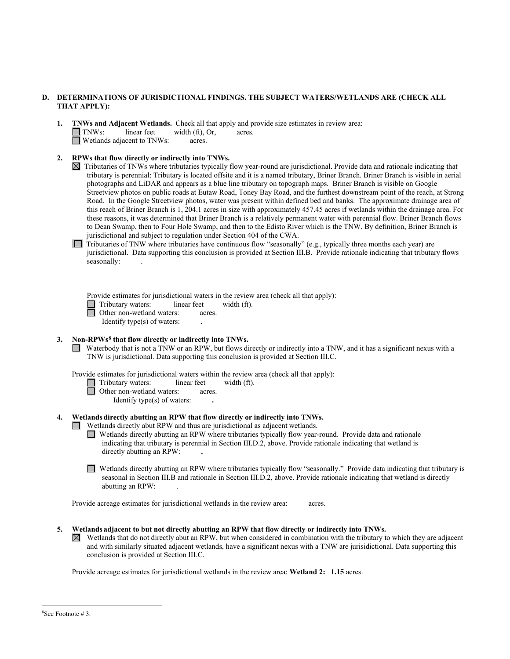#### **D. DETERMINATIONS OF JURISDICTIONAL FINDINGS. THE SUBJECT WATERS/WETLANDS ARE (CHECK ALL THAT APPLY):**

- **1. INWs and Adjacent Wetlands.** Check all that apply and provide size estimates in review area:<br> **1. INWs:** linear feet width (ft), Or, acres. **TNWs:** linear feet width (ft), Or, acres.  $\Box$  Wetlands adjacent to TNWs: acres.
- **2. RPWs that flow directly or indirectly into TNWs.** 
	- $\boxtimes$  Tributaries of TNWs where tributaries typically flow year-round are jurisdictional. Provide data and rationale indicating that tributary is perennial: Tributary is located offsite and it is a named tributary, Briner Branch. Briner Branch is visible in aerial photographs and LiDAR and appears as a blue line tributary on topograph maps. Briner Branch is visible on Google Streetview photos on public roads at Eutaw Road, Toney Bay Road, and the furthest downstream point of the reach, at Strong Road. In the Google Streetview photos, water was present within defined bed and banks. The approximate drainage area of this reach of Briner Branch is 1, 204.1 acres in size with approximately 457.45 acres if wetlands within the drainage area. For these reasons, it was determined that Briner Branch is a relatively permanent water with perennial flow. Briner Branch flows to Dean Swamp, then to Four Hole Swamp, and then to the Edisto River which is the TNW. By definition, Briner Branch is jurisdictional and subject to regulation under Section 404 of the CWA.

□ Tributaries of TNW where tributaries have continuous flow "seasonally" (e.g., typically three months each year) are invitational. Deta surgesting this conclusion is against Section III D. Describe article in discrime th jurisdictional. Data supporting this conclusion is provided at Section III.B. Provide rationale indicating that tributary flows seasonally:

Provide estimates for jurisdictional waters in the review area (check all that apply):

□ Tributary waters: linear feet width (ft). **1** Tributary waters: **and interval in the Conduct Server of Servers** intervals of the conduction of the conduction of the deterministic density of the deterministic density of the deterministic density of the deterministi

Identify type(s) of waters:

# **3. Non-RPWs[8](#page-13-0) that flow directly or indirectly into TNWs.**

■ Waterbody that is not a TNW or an RPW, but flows directly or indirectly into a TNW, and it has a significant nexus with a TNW is urisdictional. Deta supporting this conclusion is provided at Section III C TNW is jurisdictional. Data supporting this conclusion is provided at Section III.C.

Provide estimates for jurisdictional waters within the review area (check all that apply):

- □ Tributary waters: linear feet width (ft). **1** Tributary waters: **acres** inear feet other non-wetland waters: acres.
	-

Identify type(s) of waters: **.** 

# **4. Wetlands directly abutting an RPW that flow directly or indirectly into TNWs.**

- **T** Wetlands directly abut RPW and thus are jurisdictional as adjacent wetlands.
- **INTERNATIONAL INTERNATION** IN THE CONSTRUCTION OF THE CONSTRUCTION OF THE CONSTRUCTION OF THE CONSTRUCTION OF THE CONSTRUCTION OF THE CONSTRUCTION OF THE CONSTRUCTION OF THE CONSTRUCTION OF THE CONSTRUCTION OF THE CONS indicating that tributary is perennial in Section III.D.2, above. Provide rationale indicating that wetland is directly abutting an RPW: **.**
- Wetlands directly abutting an RPW where tributaries typically flow "seasonally." Provide data indicating that tributary is seasonal in Section III B and rationale in Section III D 2, above Provide rationale indicating t seasonal in Section III.B and rationale in Section III.D.2, above. Provide rationale indicating that wetland is directly abutting an RPW: .

Provide acreage estimates for jurisdictional wetlands in the review area:acres.

- **5. Wetlands adjacent to but not directly abutting an RPW that flow directly or indirectly into TNWs.** 
	- $\boxtimes$  Wetlands that do not directly abut an RPW, but when considered in combination with the tributary to which they are adjacent and with similarly situated adjacent wetlands, have a significant nexus with a TNW are jurisidictional. Data supporting this conclusion is provided at Section III.C.

Provide acreage estimates for jurisdictional wetlands in the review area: **Wetland 2: 1.15** acres.

<span id="page-13-0"></span><sup>8</sup> See Footnote # 3.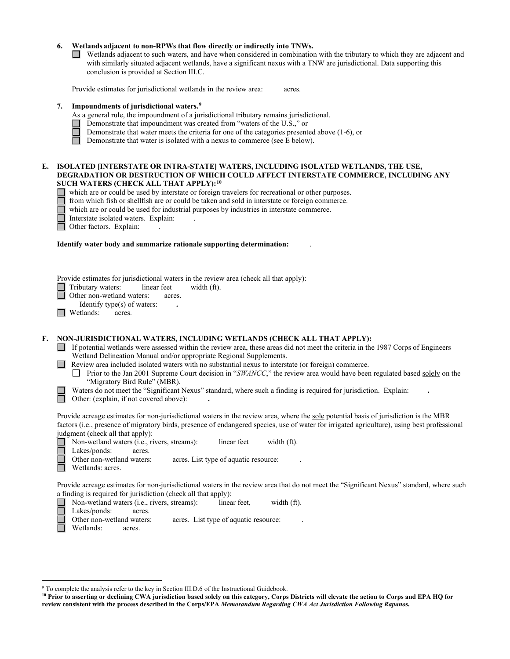#### **6. Wetlands adjacent to non-RPWs that flow directly or indirectly into TNWs.**

Wetlands adjacent to such waters, and have when considered in combination with the tributary to which they are adjacent and with similarly situated adjacent wetlands, have a significant nexus with a TNW are jurisdictional. Data supporting this conclusion is provided at Section III.C. □

Provide estimates for jurisdictional wetlands in the review area:acres.

#### **7. Impoundments of jurisdictional waters. [9](#page-14-0)**

- As a general rule, the impoundment of a jurisdictional tributary remains jurisdictional.
	-
	- Demonstrate that water meets the criteria for one of the categories presented above (1-6), or
- □ Demonstrate that impoundment was created from "waters of the U.S.," or<br>
□ Demonstrate that water meets the criteria for one of the categories present<br>
□ Demonstrate that water is isolated with a nexus to commerce (see E Demonstrate that water is isolated with a nexus to commerce (see E below). □

#### **E. ISOLATED [INTERSTATE OR INTRA-STATE] WATERS, INCLUDING ISOLATED WETLANDS, THE USE, DEGRADATION OR DESTRUCTION OF WHICH COULD AFFECT INTERSTATE COMMERCE, INCLUDING ANY SUCH WATERS (CHECK ALL THAT APPLY):[10](#page-14-1)**

- □ which are or could be used by interstate or foreign travelers for recreational or other purposes.
- □ from which fish or shellfish are or could be taken and sold in interstate or foreign commerce.
- which are or could be used for industrial purposes by industries in interstate commerce.
- □ Interstate isolated waters. Explain: .
- □ Other factors. Explain: .

#### **Identify water body and summarize rationale supporting determination:** .

Provide estimates for jurisdictional waters in the review area (check all that apply):

Tributary waters: linear feet width (ft).<br>
Other non-wetland waters: acres.<br>
Identify trac(c) of waters:

Other non-wetland waters: acres.

Identify type(s) of waters: **.** 

■ Wetlands: acres.

# **F. NON-JURISDICTIONAL WATERS, INCLUDING WETLANDS (CHECK ALL THAT APPLY):**

□ If potential wetlands were assessed within the review area, these areas did not meet the criteria in the 1987 Corps of Engineers Wetland Delineerion Manual and/or appropriate Peorional Supplements Wetland Delineation Manual and/or appropriate Regional Supplements.

**■** Review area included isolated waters with no substantial nexus to interstate (or foreign) commerce.<br>□ Prior to the Jan 2001 Supreme Court decision in "SWANCC" the raview area would have been

□ Prior to the Jan 2001 Supreme Court decision in "*SWANCC*," the review area would have been regulated based <u>solely</u> on the " "Migratory Bird Rule" (MBR).

Waters do not meet the "Significant Nexus" standard, where such a finding is required for jurisdiction. Explain: ■ Waters do not meet the "Significant Nexus" st<br>
Other: (explain, if not covered above):

Provide acreage estimates for non-jurisdictional waters in the review area, where the sole potential basis of jurisdiction is the MBR factors (i.e., presence of migratory birds, presence of endangered species, use of water for irrigated agriculture), using best professional judgment (check all that apply):

Non-wetland waters (i.e., rivers, streams):linear feetwidth (ft).

Lakes/ponds: acres.

Other non-wetland waters: acres. List type of aquatic resource:

Wetlands: acres.

П

Provide acreage estimates for non-jurisdictional waters in the review area that do not meet the "Significant Nexus" standard, where such a finding is required for jurisdiction (check all that apply):

- Non-wetland waters (i.e., rivers, streams):linear feet,width (ft).
- Lakes/ponds: acres.

Other non-wetland waters: acres. List type of aquatic resource:

Wetlands: acres.

<span id="page-14-0"></span><sup>&</sup>lt;sup>9</sup> To complete the analysis refer to the key in Section III.D.6 of the Instructional Guidebook.

<span id="page-14-1"></span>**<sup>10</sup> Prior to asserting or declining CWA jurisdiction based solely on this category, Corps Districts will elevate the action to Corps and EPA HQ for review consistent with the process described in the Corps/EPA** *Memorandum Regarding CWA Act Jurisdiction Following Rapanos.*